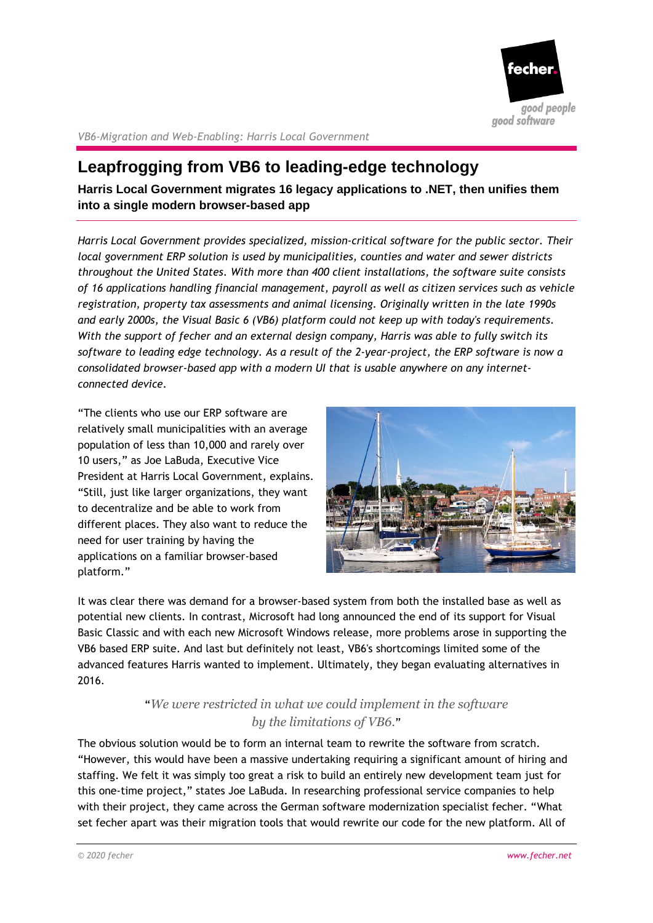

*VB6-Migration and Web-Enabling: Harris Local Government*

# **Leapfrogging from VB6 to leading-edge technology**

**Harris Local Government migrates 16 legacy applications to .NET, then unifies them into a single modern browser-based app**

*Harris Local Government provides specialized, mission-critical software for the public sector. Their local government ERP solution is used by municipalities, counties and water and sewer districts throughout the United States. With more than 400 client installations, the software suite consists of 16 applications handling financial management, payroll as well as citizen services such as vehicle registration, property tax assessments and animal licensing. Originally written in the late 1990s and early 2000s, the Visual Basic 6 (VB6) platform could not keep up with today's requirements. With the support of fecher and an external design company, Harris was able to fully switch its software to leading edge technology. As a result of the 2-year-project, the ERP software is now a consolidated browser-based app with a modern UI that is usable anywhere on any internetconnected device.*

"The clients who use our ERP software are relatively small municipalities with an average population of less than 10,000 and rarely over 10 users," as Joe LaBuda, Executive Vice President at Harris Local Government, explains. "Still, just like larger organizations, they want to decentralize and be able to work from different places. They also want to reduce the need for user training by having the applications on a familiar browser-based platform."



It was clear there was demand for a browser-based system from both the installed base as well as potential new clients. In contrast, Microsoft had long announced the end of its support for Visual Basic Classic and with each new Microsoft Windows release, more problems arose in supporting the VB6 based ERP suite. And last but definitely not least, VB6's shortcomings limited some of the advanced features Harris wanted to implement. Ultimately, they began evaluating alternatives in 2016.

# "*We were restricted in what we could implement in the software by the limitations of VB6.*"

The obvious solution would be to form an internal team to rewrite the software from scratch. "However, this would have been a massive undertaking requiring a significant amount of hiring and staffing. We felt it was simply too great a risk to build an entirely new development team just for this one-time project," states Joe LaBuda. In researching professional service companies to help with their project, they came across the German software modernization specialist fecher. "What set fecher apart was their migration tools that would rewrite our code for the new platform. All of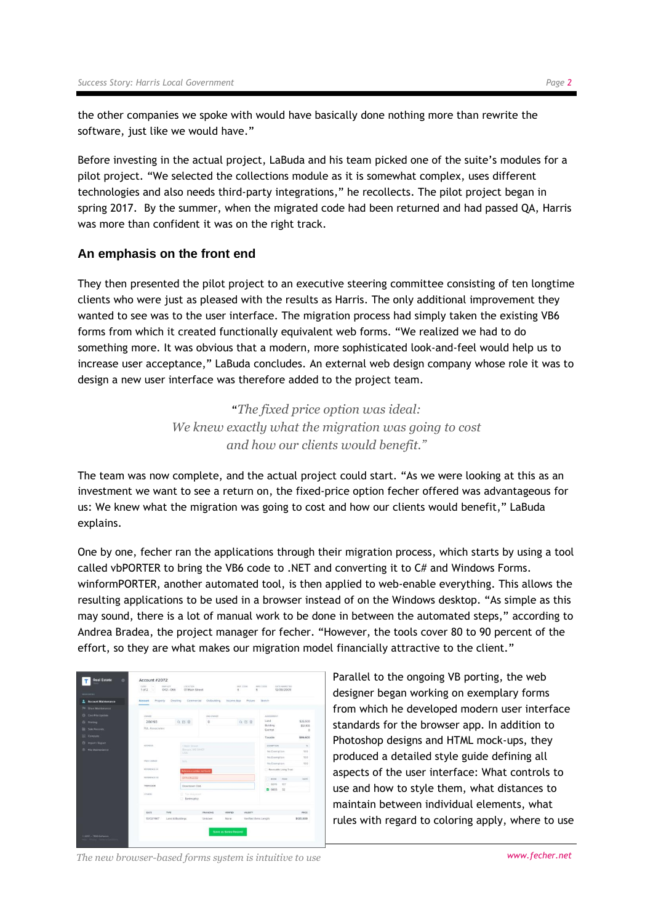the other companies we spoke with would have basically done nothing more than rewrite the software, just like we would have."

Before investing in the actual project, LaBuda and his team picked one of the suite's modules for a pilot project. "We selected the collections module as it is somewhat complex, uses different technologies and also needs third-party integrations," he recollects. The pilot project began in spring 2017. By the summer, when the migrated code had been returned and had passed QA, Harris was more than confident it was on the right track.

### **An emphasis on the front end**

They then presented the pilot project to an executive steering committee consisting of ten longtime clients who were just as pleased with the results as Harris. The only additional improvement they wanted to see was to the user interface. The migration process had simply taken the existing VB6 forms from which it created functionally equivalent web forms. "We realized we had to do something more. It was obvious that a modern, more sophisticated look-and-feel would help us to increase user acceptance," LaBuda concludes. An external web design company whose role it was to design a new user interface was therefore added to the project team.

> "*The fixed price option was ideal: We knew exactly what the migration was going to cost and how our clients would benefit."*

The team was now complete, and the actual project could start. "As we were looking at this as an investment we want to see a return on, the fixed-price option fecher offered was advantageous for us: We knew what the migration was going to cost and how our clients would benefit," LaBuda explains.

One by one, fecher ran the applications through their migration process, which starts by using a tool called vbPORTER to bring the VB6 code to .NET and converting it to C# and Windows Forms. winformPORTER, another automated tool, is then applied to web-enable everything. This allows the resulting applications to be used in a browser instead of on the Windows desktop. "As simple as this may sound, there is a lot of manual work to be done in between the automated steps," according to Andrea Bradea, the project manager for fecher. "However, the tools cover 80 to 90 percent of the effort, so they are what makes our migration model financially attractive to the client."

| <b>BULLET BERRY</b>              | $1$ of $2$<br>m<br>042-066 | O1 Main Street                     |                                                 | 6<br>6                             | 12/09/2009                    |                     |
|----------------------------------|----------------------------|------------------------------------|-------------------------------------------------|------------------------------------|-------------------------------|---------------------|
| <b>Account Maintenance</b>       | <b>Account</b><br>Property | Commercial<br><b>Dwelling</b>      | Outbuilding                                     | <b>Income App</b><br>Picture       | Skench:                       |                     |
| <sup>186</sup> Short Maintenance |                            |                                    |                                                 |                                    |                               |                     |
| Cost File Update                 | CHIVER.                    |                                    | <b>TRO OWNER</b>                                |                                    | ASSESSMENT                    |                     |
| <b>Pit Printing</b>              | 286193                     | Q 区 目                              | $\circ$                                         | Q 凹 窗                              | Land                          | \$35,500            |
| Sale Rocords                     | <b>B.R. Associates</b>     |                                    |                                                 |                                    | Building<br>Evernot           | \$51,100<br>$\circ$ |
| <b>EL</b> Compute                |                            |                                    |                                                 |                                    |                               | \$86,600            |
| <b>D</b> Inport / Export         |                            |                                    |                                                 |                                    | Taxable                       |                     |
| <b>File Maintenance</b>          | ADDRESS.                   |                                    | <b>TANK Street</b><br><b>Illenson</b> MII 04401 |                                    | EXEMPTION<br>No Exemption     | $\sim$              |
|                                  |                            | <b>LYGA</b>                        |                                                 |                                    |                               | 100                 |
|                                  | PREV CHINER                | <b>BASE</b>                        |                                                 |                                    | No Exemption<br>No Exemption  | 100                 |
|                                  | <b>ASYERONCE OF</b>        |                                    |                                                 |                                    |                               | 100                 |
|                                  |                            | <b>To foreman number not house</b> |                                                 |                                    | <b>Revocable Living Trust</b> |                     |
|                                  | <b><i>REFERENCE BY</i></b> | DTA 093223                         |                                                 | PASE<br><b>AGOK</b>                | DATE.                         |                     |
|                                  | TRAN COOS                  | Downtown Dist.                     |                                                 |                                    | 337<br>C 6679                 |                     |
|                                  | <b>OTHONE</b>              | IT The Acupus                      |                                                 |                                    | 2,800 0<br>32                 |                     |
|                                  |                            | Bankruptcy                         |                                                 |                                    |                               |                     |
|                                  | TYPE<br>DATE:              |                                    | <b>FIRANCING</b>                                | <b>VENETIED</b><br><b>VALIDITY</b> |                               | PHICE               |
|                                  | 10/02/1987                 | Lend & Buildings                   | Linkown                                         | Verified Arms Length<br>None       |                               | \$120,000           |
|                                  |                            |                                    |                                                 |                                    |                               |                     |

Parallel to the ongoing VB porting, the web designer began working on exemplary forms from which he developed modern user interface standards for the browser app. In addition to Photoshop designs and HTML mock-ups, they produced a detailed style guide defining all aspects of the user interface: What controls to use and how to style them, what distances to maintain between individual elements, what rules with regard to coloring apply, where to use

*The new browser-based forms system is intuitive to use blue and the <i>system is intuitive to use Alternative to use*